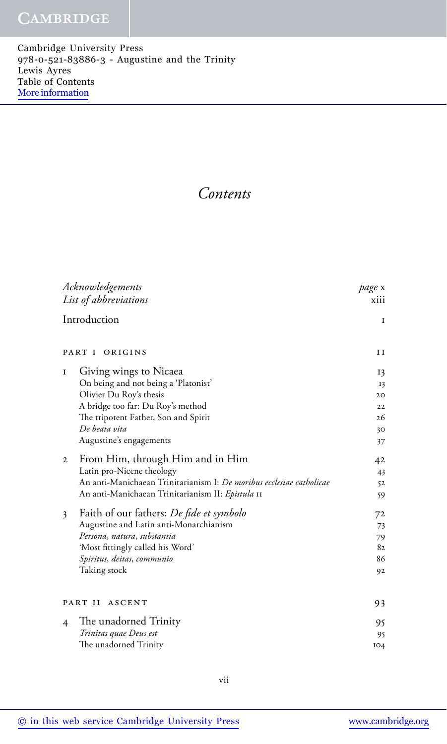## **CAMBRIDGE**

Cambridge University Press 978-0-521-83886-3 - Augustine and the Trinity Lewis Ayres Table of Contents [More information](http://www.cambridge.org/9780521838863)

## *Contents*

| Acknowledgements                                                     | page x |
|----------------------------------------------------------------------|--------|
| List of abbreviations                                                | xiii   |
| Introduction                                                         | 1      |
| PART I<br>ORIGINS                                                    | ΙI     |
| Giving wings to Nicaea<br>1                                          | 13     |
| On being and not being a 'Platonist'                                 | 13     |
| Olivier Du Roy's thesis                                              | 20     |
| A bridge too far: Du Roy's method                                    | 22     |
| The tripotent Father, Son and Spirit                                 | 26     |
| De beata vita                                                        | 30     |
| Augustine's engagements                                              | 37     |
| From Him, through Him and in Him<br>$\mathbf{2}$                     | 42     |
| Latin pro-Nicene theology                                            | 43     |
| An anti-Manichaean Trinitarianism I: De moribus ecclesiae catholicae | 52     |
| An anti-Manichaean Trinitarianism II: Epistula 11                    | 59     |
| Faith of our fathers: <i>De fide et symbolo</i><br>3                 | 72     |
| Augustine and Latin anti-Monarchianism                               | 73     |
| Persona, natura, substantia                                          | 79     |
| 'Most fittingly called his Word'                                     | 82     |
| Spiritus, deitas, communio                                           | 86     |
| Taking stock                                                         | 92     |
|                                                                      |        |
| PART II ASCENT                                                       | 93     |
| The unadorned Trinity<br>$\overline{4}$                              | 95     |
| Trinitas quae Deus est                                               | 95     |
| The unadorned Trinity                                                | IO4    |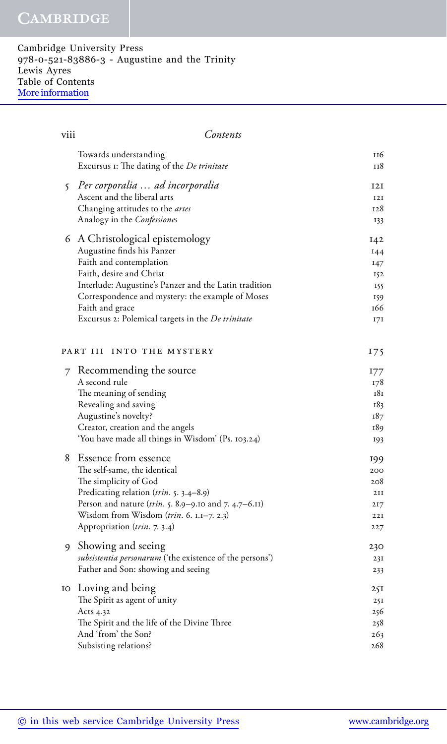## **CAMBRIDGE**

Cambridge University Press 978-0-521-83886-3 - Augustine and the Trinity Lewis Ayres Table of Contents [More information](http://www.cambridge.org/9780521838863)

| viii | Contents                                                                                                                                                                                                                                                                                                         |                                                      |
|------|------------------------------------------------------------------------------------------------------------------------------------------------------------------------------------------------------------------------------------------------------------------------------------------------------------------|------------------------------------------------------|
|      | Towards understanding<br>Excursus 1: The dating of the De trinitate                                                                                                                                                                                                                                              | 116<br>118                                           |
|      | 5 Per corporalia  ad incorporalia<br>Ascent and the liberal arts<br>Changing attitudes to the <i>artes</i><br>Analogy in the Confessiones                                                                                                                                                                        | 12I<br><b>I2I</b><br>128<br>133                      |
|      | 6 A Christological epistemology<br>Augustine finds his Panzer<br>Faith and contemplation<br>Faith, desire and Christ<br>Interlude: Augustine's Panzer and the Latin tradition<br>Correspondence and mystery: the example of Moses<br>Faith and grace<br>Excursus 2: Polemical targets in the <i>De trinitate</i> | I42<br>144<br>147<br>152<br>155<br>159<br>166<br>17I |
|      | PART III INTO THE MYSTERY                                                                                                                                                                                                                                                                                        | 175                                                  |
| 7    | Recommending the source<br>A second rule<br>The meaning of sending<br>Revealing and saving<br>Augustine's novelty?<br>Creator, creation and the angels<br>'You have made all things in Wisdom' (Ps. 103.24)                                                                                                      | 177<br>178<br>181<br>183<br>187<br>189<br>193        |
| 8    | Essence from essence<br>The self-same, the identical<br>The simplicity of God<br>Predicating relation (trin. 5. 3.4-8.9)<br>Person and nature (trin. 5. 8.9–9.10 and 7. 4.7–6.11)<br>Wisdom from Wisdom $(trin. 6. I.I–7. 2.3)$<br>Appropriation (trin. 7. 3.4)                                                  | 199<br>200<br>208<br>2II<br>217<br>22I<br>227        |
| 9    | Showing and seeing<br>subsistentia personarum ('the existence of the persons')<br>Father and Son: showing and seeing                                                                                                                                                                                             | 230<br>23I<br>233                                    |
|      | 10 Loving and being<br>The Spirit as agent of unity<br>Acts 4.32<br>The Spirit and the life of the Divine Three<br>And 'from' the Son?<br>Subsisting relations?                                                                                                                                                  | 251<br>25I<br>256<br>258<br>263<br>268               |